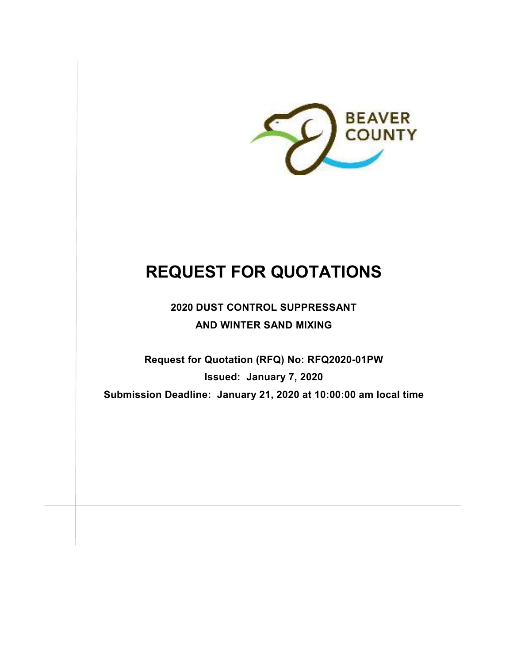

# **REQUEST FOR QUOTATIONS**

**2020 DUST CONTROL SUPPRESSANT AND WINTER SAND MIXING** 

**Request for Quotation (RFQ) No: RFQ2020-01PW Issued: January 7, 2020 Submission Deadline: January 21, 2020 at 10:00:00 am local time**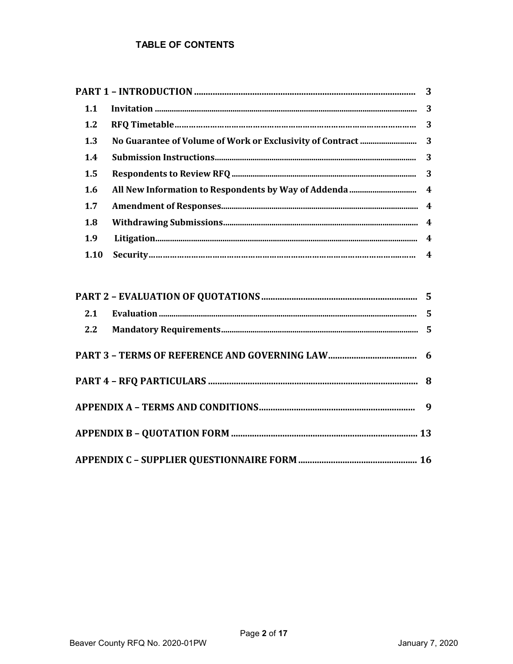# **TABLE OF CONTENTS**

| 1.1         |  |
|-------------|--|
| 1.2         |  |
| 1.3         |  |
| 1.4         |  |
| 1.5         |  |
| 1.6         |  |
| 1.7         |  |
| 1.8         |  |
| 1.9         |  |
| <b>1.10</b> |  |
|             |  |
|             |  |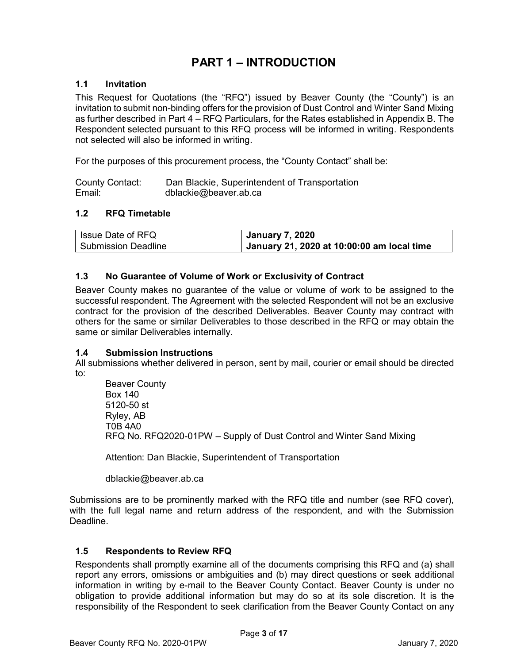# **PART 1 – INTRODUCTION**

# **1.1 Invitation**

This Request for Quotations (the "RFQ") issued by Beaver County (the "County") is an invitation to submit non-binding offers for the provision of Dust Control and Winter Sand Mixing as further described in Part 4 – RFQ Particulars, for the Rates established in Appendix B. The Respondent selected pursuant to this RFQ process will be informed in writing. Respondents not selected will also be informed in writing.

For the purposes of this procurement process, the "County Contact" shall be:

County Contact: Dan Blackie, Superintendent of Transportation Email: dblackie@beaver.ab.ca

# **1.2 RFQ Timetable**

| I Issue Date of RFQ | <b>January 7, 2020</b>                     |
|---------------------|--------------------------------------------|
| Submission Deadline | January 21, 2020 at 10:00:00 am local time |

# **1.3 No Guarantee of Volume of Work or Exclusivity of Contract**

Beaver County makes no guarantee of the value or volume of work to be assigned to the successful respondent. The Agreement with the selected Respondent will not be an exclusive contract for the provision of the described Deliverables. Beaver County may contract with others for the same or similar Deliverables to those described in the RFQ or may obtain the same or similar Deliverables internally.

#### **1.4 Submission Instructions**

All submissions whether delivered in person, sent by mail, courier or email should be directed to:

Beaver County Box 140 5120-50 st Ryley, AB T0B 4A0 RFQ No. RFQ2020-01PW – Supply of Dust Control and Winter Sand Mixing

Attention: Dan Blackie, Superintendent of Transportation

dblackie@beaver.ab.ca

Submissions are to be prominently marked with the RFQ title and number (see RFQ cover), with the full legal name and return address of the respondent, and with the Submission Deadline.

# **1.5 Respondents to Review RFQ**

Respondents shall promptly examine all of the documents comprising this RFQ and (a) shall report any errors, omissions or ambiguities and (b) may direct questions or seek additional information in writing by e-mail to the Beaver County Contact. Beaver County is under no obligation to provide additional information but may do so at its sole discretion. It is the responsibility of the Respondent to seek clarification from the Beaver County Contact on any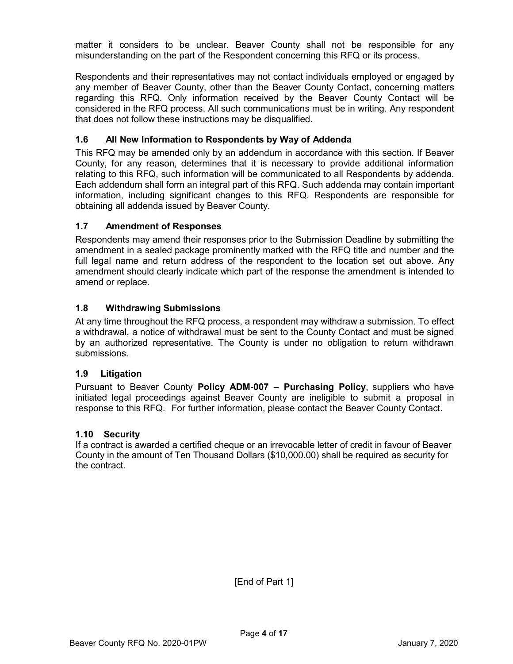matter it considers to be unclear. Beaver County shall not be responsible for any misunderstanding on the part of the Respondent concerning this RFQ or its process.

Respondents and their representatives may not contact individuals employed or engaged by any member of Beaver County, other than the Beaver County Contact, concerning matters regarding this RFQ. Only information received by the Beaver County Contact will be considered in the RFQ process. All such communications must be in writing. Any respondent that does not follow these instructions may be disqualified.

# **1.6 All New Information to Respondents by Way of Addenda**

This RFQ may be amended only by an addendum in accordance with this section. If Beaver County, for any reason, determines that it is necessary to provide additional information relating to this RFQ, such information will be communicated to all Respondents by addenda. Each addendum shall form an integral part of this RFQ. Such addenda may contain important information, including significant changes to this RFQ. Respondents are responsible for obtaining all addenda issued by Beaver County.

# **1.7 Amendment of Responses**

Respondents may amend their responses prior to the Submission Deadline by submitting the amendment in a sealed package prominently marked with the RFQ title and number and the full legal name and return address of the respondent to the location set out above. Any amendment should clearly indicate which part of the response the amendment is intended to amend or replace.

# **1.8 Withdrawing Submissions**

At any time throughout the RFQ process, a respondent may withdraw a submission. To effect a withdrawal, a notice of withdrawal must be sent to the County Contact and must be signed by an authorized representative. The County is under no obligation to return withdrawn submissions.

# **1.9 Litigation**

Pursuant to Beaver County **Policy ADM-007 – Purchasing Policy**, suppliers who have initiated legal proceedings against Beaver County are ineligible to submit a proposal in response to this RFQ. For further information, please contact the Beaver County Contact.

# **1.10 Security**

If a contract is awarded a certified cheque or an irrevocable letter of credit in favour of Beaver County in the amount of Ten Thousand Dollars (\$10,000.00) shall be required as security for the contract.

[End of Part 1]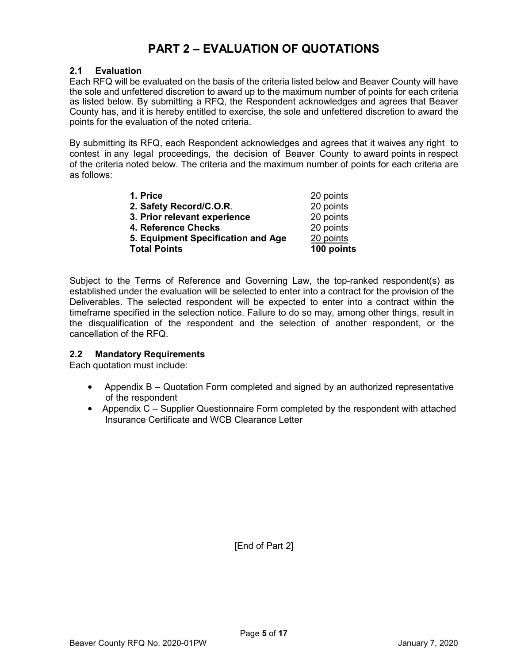# **PART 2 – EVALUATION OF QUOTATIONS**

# **2.1 Evaluation**

Each RFQ will be evaluated on the basis of the criteria listed below and Beaver County will have the sole and unfettered discretion to award up to the maximum number of points for each criteria as listed below. By submitting a RFQ, the Respondent acknowledges and agrees that Beaver County has, and it is hereby entitled to exercise, the sole and unfettered discretion to award the points for the evaluation of the noted criteria.

By submitting its RFQ, each Respondent acknowledges and agrees that it waives any right to contest in any legal proceedings, the decision of Beaver County to award points in respect of the criteria noted below. The criteria and the maximum number of points for each criteria are as follows:

| <b>Total Points</b>                | 100 points |
|------------------------------------|------------|
| 5. Equipment Specification and Age | 20 points  |
| 4. Reference Checks                | 20 points  |
| 3. Prior relevant experience       | 20 points  |
| 2. Safety Record/C.O.R.            | 20 points  |
| 1. Price                           | 20 points  |

Subject to the Terms of Reference and Governing Law, the top-ranked respondent(s) as established under the evaluation will be selected to enter into a contract for the provision of the Deliverables. The selected respondent will be expected to enter into a contract within the timeframe specified in the selection notice. Failure to do so may, among other things, result in the disqualification of the respondent and the selection of another respondent, or the cancellation of the RFQ.

# **2.2 Mandatory Requirements**

Each quotation must include:

- Appendix B Quotation Form completed and signed by an authorized representative of the respondent
- Appendix C Supplier Questionnaire Form completed by the respondent with attached Insurance Certificate and WCB Clearance Letter

[End of Part 2]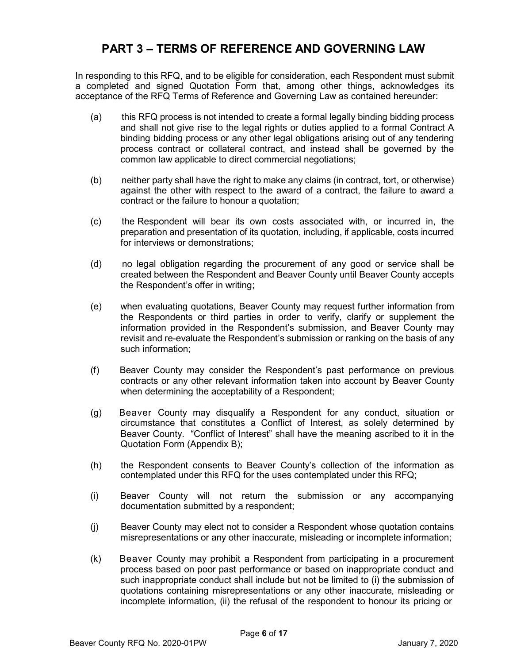# **PART 3 – TERMS OF REFERENCE AND GOVERNING LAW**

In responding to this RFQ, and to be eligible for consideration, each Respondent must submit a completed and signed Quotation Form that, among other things, acknowledges its acceptance of the RFQ Terms of Reference and Governing Law as contained hereunder:

- (a) this RFQ process is not intended to create a formal legally binding bidding process and shall not give rise to the legal rights or duties applied to a formal Contract A binding bidding process or any other legal obligations arising out of any tendering process contract or collateral contract, and instead shall be governed by the common law applicable to direct commercial negotiations;
- (b) neither party shall have the right to make any claims (in contract, tort, or otherwise) against the other with respect to the award of a contract, the failure to award a contract or the failure to honour a quotation;
- (c) the Respondent will bear its own costs associated with, or incurred in, the preparation and presentation of its quotation, including, if applicable, costs incurred for interviews or demonstrations;
- (d) no legal obligation regarding the procurement of any good or service shall be created between the Respondent and Beaver County until Beaver County accepts the Respondent's offer in writing;
- (e) when evaluating quotations, Beaver County may request further information from the Respondents or third parties in order to verify, clarify or supplement the information provided in the Respondent's submission, and Beaver County may revisit and re-evaluate the Respondent's submission or ranking on the basis of any such information;
- (f) Beaver County may consider the Respondent's past performance on previous contracts or any other relevant information taken into account by Beaver County when determining the acceptability of a Respondent;
- (g) Beaver County may disqualify a Respondent for any conduct, situation or circumstance that constitutes a Conflict of Interest, as solely determined by Beaver County. "Conflict of Interest" shall have the meaning ascribed to it in the Quotation Form (Appendix B);
- (h) the Respondent consents to Beaver County's collection of the information as contemplated under this RFQ for the uses contemplated under this RFQ;
- (i) Beaver County will not return the submission or any accompanying documentation submitted by a respondent;
- (j) Beaver County may elect not to consider a Respondent whose quotation contains misrepresentations or any other inaccurate, misleading or incomplete information;
- (k) Beaver County may prohibit a Respondent from participating in a procurement process based on poor past performance or based on inappropriate conduct and such inappropriate conduct shall include but not be limited to (i) the submission of quotations containing misrepresentations or any other inaccurate, misleading or incomplete information, (ii) the refusal of the respondent to honour its pricing or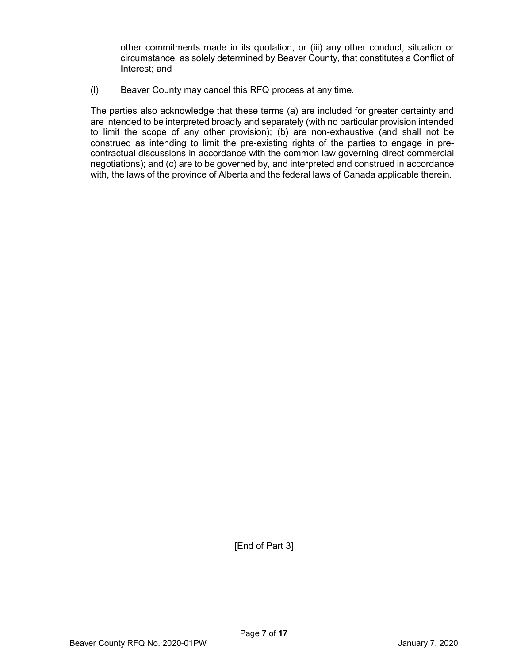other commitments made in its quotation, or (iii) any other conduct, situation or circumstance, as solely determined by Beaver County, that constitutes a Conflict of Interest; and

(l) Beaver County may cancel this RFQ process at any time.

The parties also acknowledge that these terms (a) are included for greater certainty and are intended to be interpreted broadly and separately (with no particular provision intended to limit the scope of any other provision); (b) are non-exhaustive (and shall not be construed as intending to limit the pre-existing rights of the parties to engage in precontractual discussions in accordance with the common law governing direct commercial negotiations); and (c) are to be governed by, and interpreted and construed in accordance with, the laws of the province of Alberta and the federal laws of Canada applicable therein.

[End of Part 3]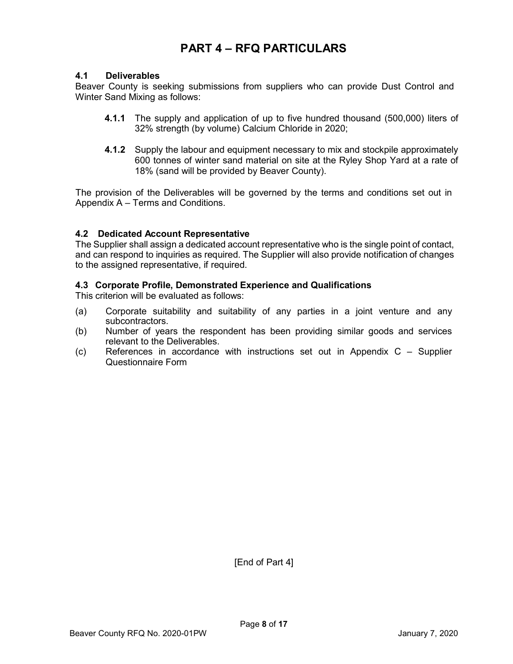# **PART 4 – RFQ PARTICULARS**

#### **4.1 Deliverables**

Beaver County is seeking submissions from suppliers who can provide Dust Control and Winter Sand Mixing as follows:

- **4.1.1** The supply and application of up to five hundred thousand (500,000) liters of 32% strength (by volume) Calcium Chloride in 2020;
- **4.1.2** Supply the labour and equipment necessary to mix and stockpile approximately 600 tonnes of winter sand material on site at the Ryley Shop Yard at a rate of 18% (sand will be provided by Beaver County).

The provision of the Deliverables will be governed by the terms and conditions set out in Appendix A – Terms and Conditions.

#### **4.2 Dedicated Account Representative**

The Supplier shall assign a dedicated account representative who is the single point of contact, and can respond to inquiries as required. The Supplier will also provide notification of changes to the assigned representative, if required.

#### **4.3 Corporate Profile, Demonstrated Experience and Qualifications**

This criterion will be evaluated as follows:

- (a) Corporate suitability and suitability of any parties in a joint venture and any subcontractors.
- (b) Number of years the respondent has been providing similar goods and services relevant to the Deliverables.
- (c) References in accordance with instructions set out in Appendix C Supplier Questionnaire Form

[End of Part 4]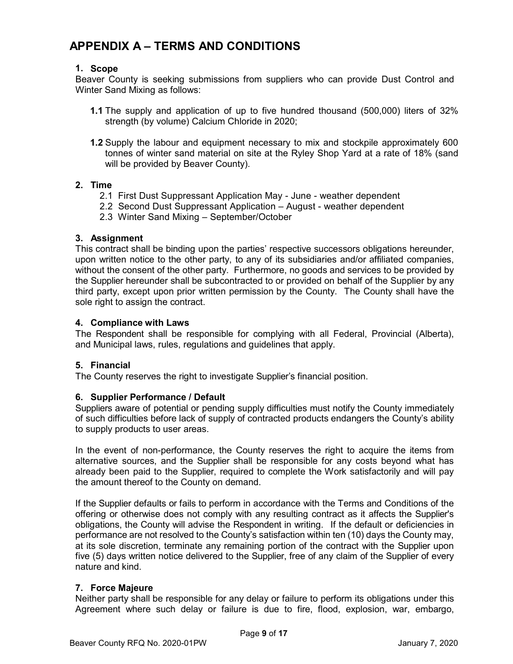# **APPENDIX A – TERMS AND CONDITIONS**

# **1. Scope**

Beaver County is seeking submissions from suppliers who can provide Dust Control and Winter Sand Mixing as follows:

- **1.1** The supply and application of up to five hundred thousand (500,000) liters of 32% strength (by volume) Calcium Chloride in 2020;
- **1.2** Supply the labour and equipment necessary to mix and stockpile approximately 600 tonnes of winter sand material on site at the Ryley Shop Yard at a rate of 18% (sand will be provided by Beaver County).

# **2. Time**

- 2.1 First Dust Suppressant Application May June weather dependent
- 2.2 Second Dust Suppressant Application August weather dependent
- 2.3 Winter Sand Mixing September/October

#### **3. Assignment**

This contract shall be binding upon the parties' respective successors obligations hereunder, upon written notice to the other party, to any of its subsidiaries and/or affiliated companies, without the consent of the other party. Furthermore, no goods and services to be provided by the Supplier hereunder shall be subcontracted to or provided on behalf of the Supplier by any third party, except upon prior written permission by the County. The County shall have the sole right to assign the contract.

#### **4. Compliance with Laws**

The Respondent shall be responsible for complying with all Federal, Provincial (Alberta), and Municipal laws, rules, regulations and guidelines that apply.

# **5. Financial**

The County reserves the right to investigate Supplier's financial position.

# **6. Supplier Performance / Default**

Suppliers aware of potential or pending supply difficulties must notify the County immediately of such difficulties before lack of supply of contracted products endangers the County's ability to supply products to user areas.

In the event of non-performance, the County reserves the right to acquire the items from alternative sources, and the Supplier shall be responsible for any costs beyond what has already been paid to the Supplier, required to complete the Work satisfactorily and will pay the amount thereof to the County on demand.

If the Supplier defaults or fails to perform in accordance with the Terms and Conditions of the offering or otherwise does not comply with any resulting contract as it affects the Supplier's obligations, the County will advise the Respondent in writing. If the default or deficiencies in performance are not resolved to the County's satisfaction within ten (10) days the County may, at its sole discretion, terminate any remaining portion of the contract with the Supplier upon five (5) days written notice delivered to the Supplier, free of any claim of the Supplier of every nature and kind.

# **7. Force Majeure**

Neither party shall be responsible for any delay or failure to perform its obligations under this Agreement where such delay or failure is due to fire, flood, explosion, war, embargo,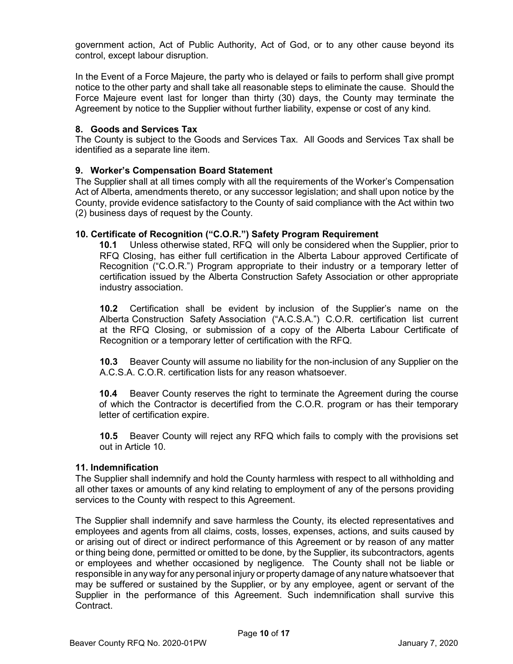government action, Act of Public Authority, Act of God, or to any other cause beyond its control, except labour disruption.

In the Event of a Force Majeure, the party who is delayed or fails to perform shall give prompt notice to the other party and shall take all reasonable steps to eliminate the cause. Should the Force Majeure event last for longer than thirty (30) days, the County may terminate the Agreement by notice to the Supplier without further liability, expense or cost of any kind.

### **8. Goods and Services Tax**

The County is subject to the Goods and Services Tax. All Goods and Services Tax shall be identified as a separate line item.

#### **9. Worker's Compensation Board Statement**

The Supplier shall at all times comply with all the requirements of the Worker's Compensation Act of Alberta, amendments thereto, or any successor legislation; and shall upon notice by the County, provide evidence satisfactory to the County of said compliance with the Act within two (2) business days of request by the County.

#### **10. Certificate of Recognition ("C.O.R.") Safety Program Requirement**

**10.1** Unless otherwise stated, RFQ will only be considered when the Supplier, prior to RFQ Closing, has either full certification in the Alberta Labour approved Certificate of Recognition ("C.O.R.") Program appropriate to their industry or a temporary letter of certification issued by the Alberta Construction Safety Association or other appropriate industry association.

**10.2** Certification shall be evident by inclusion of the Supplier's name on the Alberta Construction Safety Association ("A.C.S.A.") C.O.R. certification list current at the RFQ Closing, or submission of a copy of the Alberta Labour Certificate of Recognition or a temporary letter of certification with the RFQ.

**10.3** Beaver County will assume no liability for the non-inclusion of any Supplier on the A.C.S.A. C.O.R. certification lists for any reason whatsoever.

**10.4** Beaver County reserves the right to terminate the Agreement during the course of which the Contractor is decertified from the C.O.R. program or has their temporary letter of certification expire.

**10.5** Beaver County will reject any RFQ which fails to comply with the provisions set out in Article 10.

#### **11. Indemnification**

The Supplier shall indemnify and hold the County harmless with respect to all withholding and all other taxes or amounts of any kind relating to employment of any of the persons providing services to the County with respect to this Agreement.

The Supplier shall indemnify and save harmless the County, its elected representatives and employees and agents from all claims, costs, losses, expenses, actions, and suits caused by or arising out of direct or indirect performance of this Agreement or by reason of any matter or thing being done, permitted or omitted to be done, by the Supplier, its subcontractors, agents or employees and whether occasioned by negligence. The County shall not be liable or responsible in any way for any personal injury or property damage of any nature whatsoever that may be suffered or sustained by the Supplier, or by any employee, agent or servant of the Supplier in the performance of this Agreement. Such indemnification shall survive this **Contract**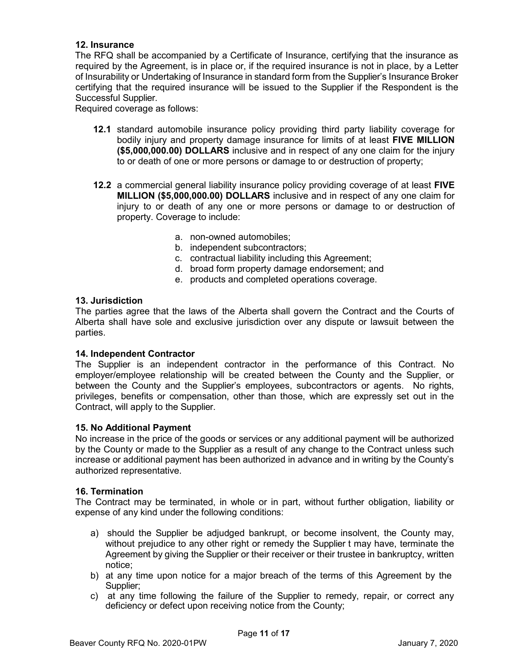### **12. Insurance**

The RFQ shall be accompanied by a Certificate of Insurance, certifying that the insurance as required by the Agreement, is in place or, if the required insurance is not in place, by a Letter of Insurability or Undertaking of Insurance in standard form from the Supplier's Insurance Broker certifying that the required insurance will be issued to the Supplier if the Respondent is the Successful Supplier.

Required coverage as follows:

- **12.1** standard automobile insurance policy providing third party liability coverage for bodily injury and property damage insurance for limits of at least **FIVE MILLION (\$5,000,000.00) DOLLARS** inclusive and in respect of any one claim for the injury to or death of one or more persons or damage to or destruction of property;
- **12.2** a commercial general liability insurance policy providing coverage of at least **FIVE MILLION (\$5,000,000.00) DOLLARS** inclusive and in respect of any one claim for injury to or death of any one or more persons or damage to or destruction of property. Coverage to include:
	- a. non-owned automobiles;
	- b. independent subcontractors;
	- c. contractual liability including this Agreement;
	- d. broad form property damage endorsement; and
	- e. products and completed operations coverage.

#### **13. Jurisdiction**

The parties agree that the laws of the Alberta shall govern the Contract and the Courts of Alberta shall have sole and exclusive jurisdiction over any dispute or lawsuit between the parties.

#### **14. Independent Contractor**

The Supplier is an independent contractor in the performance of this Contract. No employer/employee relationship will be created between the County and the Supplier, or between the County and the Supplier's employees, subcontractors or agents. No rights, privileges, benefits or compensation, other than those, which are expressly set out in the Contract, will apply to the Supplier.

#### **15. No Additional Payment**

No increase in the price of the goods or services or any additional payment will be authorized by the County or made to the Supplier as a result of any change to the Contract unless such increase or additional payment has been authorized in advance and in writing by the County's authorized representative.

#### **16. Termination**

The Contract may be terminated, in whole or in part, without further obligation, liability or expense of any kind under the following conditions:

- a) should the Supplier be adjudged bankrupt, or become insolvent, the County may, without prejudice to any other right or remedy the Supplier t may have, terminate the Agreement by giving the Supplier or their receiver or their trustee in bankruptcy, written notice;
- b) at any time upon notice for a major breach of the terms of this Agreement by the Supplier;
- c) at any time following the failure of the Supplier to remedy, repair, or correct any deficiency or defect upon receiving notice from the County;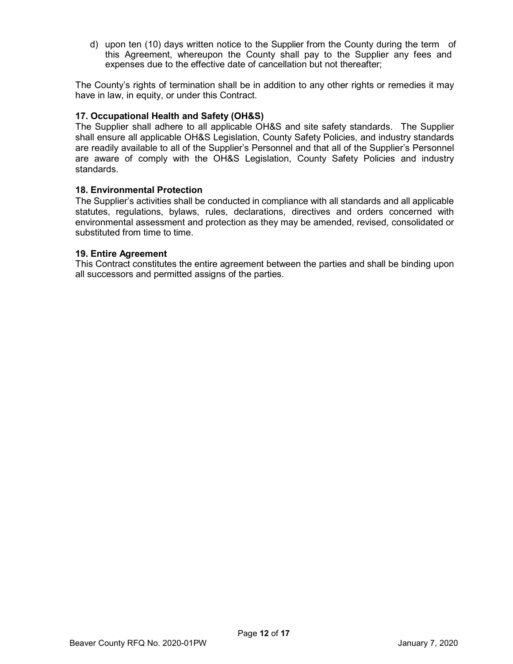d) upon ten (10) days written notice to the Supplier from the County during the term of this Agreement, whereupon the County shall pay to the Supplier any fees and expenses due to the effective date of cancellation but not thereafter;

The County's rights of termination shall be in addition to any other rights or remedies it may have in law, in equity, or under this Contract.

### **17. Occupational Health and Safety (OH&S)**

The Supplier shall adhere to all applicable OH&S and site safety standards. The Supplier shall ensure all applicable OH&S Legislation, County Safety Policies, and industry standards are readily available to all of the Supplier's Personnel and that all of the Supplier's Personnel are aware of comply with the OH&S Legislation, County Safety Policies and industry standards.

#### **18. Environmental Protection**

The Supplier's activities shall be conducted in compliance with all standards and all applicable statutes, regulations, bylaws, rules, declarations, directives and orders concerned with environmental assessment and protection as they may be amended, revised, consolidated or substituted from time to time.

#### **19. Entire Agreement**

This Contract constitutes the entire agreement between the parties and shall be binding upon all successors and permitted assigns of the parties.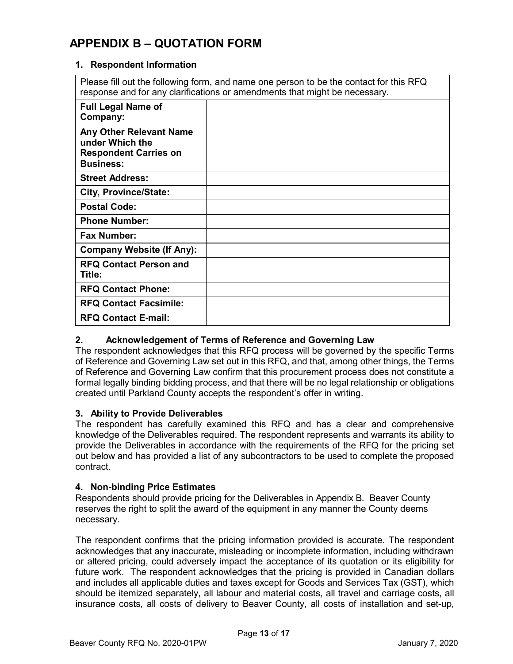# **APPENDIX B – QUOTATION FORM**

#### **1. Respondent Information**

Please fill out the following form, and name one person to be the contact for this RFQ response and for any clarifications or amendments that might be necessary.

| <b>Full Legal Name of</b><br>Company:                                                          |  |
|------------------------------------------------------------------------------------------------|--|
| Any Other Relevant Name<br>under Which the<br><b>Respondent Carries on</b><br><b>Business:</b> |  |
| <b>Street Address:</b>                                                                         |  |
| <b>City, Province/State:</b>                                                                   |  |
| <b>Postal Code:</b>                                                                            |  |
| <b>Phone Number:</b>                                                                           |  |
| <b>Fax Number:</b>                                                                             |  |
| <b>Company Website (If Any):</b>                                                               |  |
| <b>RFQ Contact Person and</b><br>Title:                                                        |  |
| <b>RFQ Contact Phone:</b>                                                                      |  |
| <b>RFQ Contact Facsimile:</b>                                                                  |  |
| <b>RFQ Contact E-mail:</b>                                                                     |  |

#### **2. Acknowledgement of Terms of Reference and Governing Law**

The respondent acknowledges that this RFQ process will be governed by the specific Terms of Reference and Governing Law set out in this RFQ, and that, among other things, the Terms of Reference and Governing Law confirm that this procurement process does not constitute a formal legally binding bidding process, and that there will be no legal relationship or obligations created until Parkland County accepts the respondent's offer in writing.

#### **3. Ability to Provide Deliverables**

The respondent has carefully examined this RFQ and has a clear and comprehensive knowledge of the Deliverables required. The respondent represents and warrants its ability to provide the Deliverables in accordance with the requirements of the RFQ for the pricing set out below and has provided a list of any subcontractors to be used to complete the proposed contract.

#### **4. Non-binding Price Estimates**

Respondents should provide pricing for the Deliverables in Appendix B. Beaver County reserves the right to split the award of the equipment in any manner the County deems necessary.

The respondent confirms that the pricing information provided is accurate. The respondent acknowledges that any inaccurate, misleading or incomplete information, including withdrawn or altered pricing, could adversely impact the acceptance of its quotation or its eligibility for future work. The respondent acknowledges that the pricing is provided in Canadian dollars and includes all applicable duties and taxes except for Goods and Services Tax (GST), which should be itemized separately, all labour and material costs, all travel and carriage costs, all insurance costs, all costs of delivery to Beaver County, all costs of installation and set-up,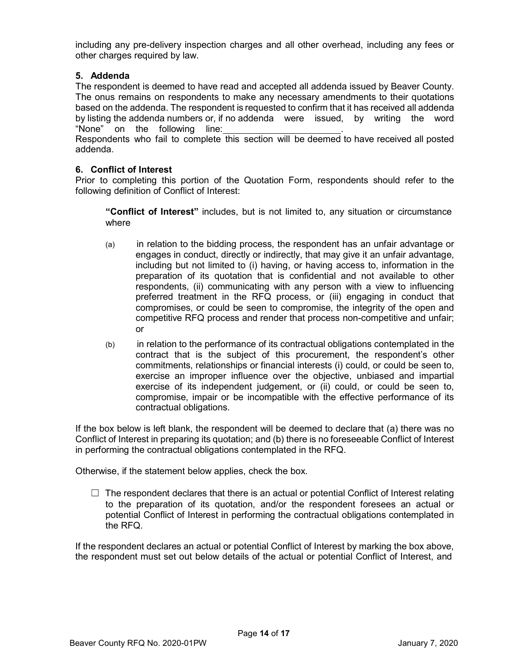including any pre-delivery inspection charges and all other overhead, including any fees or other charges required by law.

# **5. Addenda**

The respondent is deemed to have read and accepted all addenda issued by Beaver County. The onus remains on respondents to make any necessary amendments to their quotations based on the addenda. The respondent is requested to confirm that it has received all addenda by listing the addenda numbers or, if no addenda were issued, by writing the word "None" on the following line: Respondents who fail to complete this section will be deemed to have received all posted addenda.

# **6. Conflict of Interest**

Prior to completing this portion of the Quotation Form, respondents should refer to the following definition of Conflict of Interest:

**"Conflict of Interest"** includes, but is not limited to, any situation or circumstance where

- (a) in relation to the bidding process, the respondent has an unfair advantage or engages in conduct, directly or indirectly, that may give it an unfair advantage, including but not limited to (i) having, or having access to, information in the preparation of its quotation that is confidential and not available to other respondents, (ii) communicating with any person with a view to influencing preferred treatment in the RFQ process, or (iii) engaging in conduct that compromises, or could be seen to compromise, the integrity of the open and competitive RFQ process and render that process non-competitive and unfair; or
- (b) in relation to the performance of its contractual obligations contemplated in the contract that is the subject of this procurement, the respondent's other commitments, relationships or financial interests (i) could, or could be seen to, exercise an improper influence over the objective, unbiased and impartial exercise of its independent judgement, or (ii) could, or could be seen to, compromise, impair or be incompatible with the effective performance of its contractual obligations.

If the box below is left blank, the respondent will be deemed to declare that (a) there was no Conflict of Interest in preparing its quotation; and (b) there is no foreseeable Conflict of Interest in performing the contractual obligations contemplated in the RFQ.

Otherwise, if the statement below applies, check the box.

 $\Box$  The respondent declares that there is an actual or potential Conflict of Interest relating to the preparation of its quotation, and/or the respondent foresees an actual or potential Conflict of Interest in performing the contractual obligations contemplated in the RFQ.

If the respondent declares an actual or potential Conflict of Interest by marking the box above, the respondent must set out below details of the actual or potential Conflict of Interest, and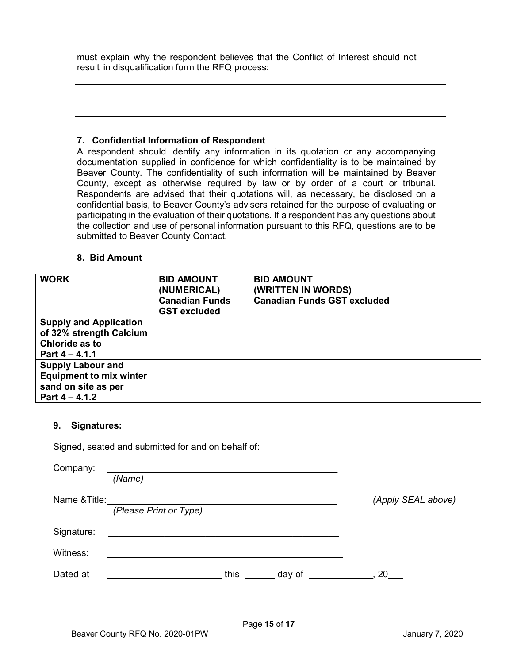must explain why the respondent believes that the Conflict of Interest should not result in disqualification form the RFQ process:

#### **7. Confidential Information of Respondent**

A respondent should identify any information in its quotation or any accompanying documentation supplied in confidence for which confidentiality is to be maintained by Beaver County. The confidentiality of such information will be maintained by Beaver County, except as otherwise required by law or by order of a court or tribunal. Respondents are advised that their quotations will, as necessary, be disclosed on a confidential basis, to Beaver County's advisers retained for the purpose of evaluating or participating in the evaluation of their quotations. If a respondent has any questions about the collection and use of personal information pursuant to this RFQ, questions are to be submitted to Beaver County Contact.

#### **8. Bid Amount**

| <b>WORK</b>                                                                                           | <b>BID AMOUNT</b><br>(NUMERICAL)<br><b>Canadian Funds</b><br><b>GST excluded</b> | <b>BID AMOUNT</b><br>(WRITTEN IN WORDS)<br><b>Canadian Funds GST excluded</b> |
|-------------------------------------------------------------------------------------------------------|----------------------------------------------------------------------------------|-------------------------------------------------------------------------------|
| <b>Supply and Application</b><br>of 32% strength Calcium<br>Chloride as to<br>Part $4 - 4.1.1$        |                                                                                  |                                                                               |
| <b>Supply Labour and</b><br><b>Equipment to mix winter</b><br>sand on site as per<br>Part $4 - 4.1.2$ |                                                                                  |                                                                               |

#### **9. Signatures:**

Signed, seated and submitted for and on behalf of:

| Company:      |                        |      |        |                    |
|---------------|------------------------|------|--------|--------------------|
|               | (Name)                 |      |        |                    |
| Name & Title: |                        |      |        | (Apply SEAL above) |
|               | (Please Print or Type) |      |        |                    |
| Signature:    |                        |      |        |                    |
| Witness:      |                        |      |        |                    |
| Dated at      |                        | this | day of | $\sim$ 20          |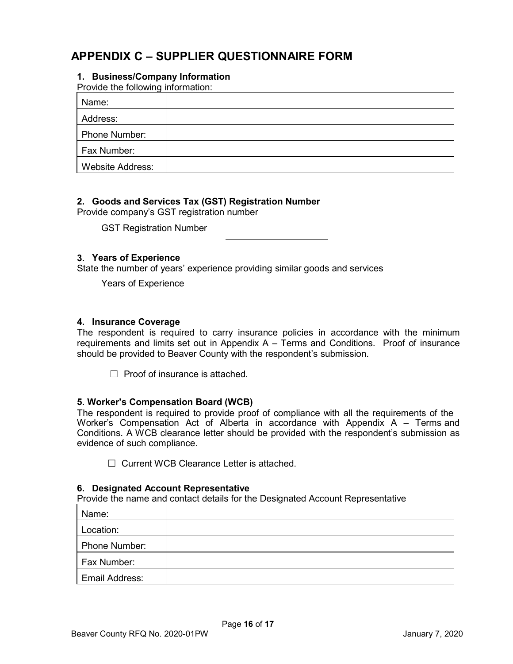# **APPENDIX C – SUPPLIER QUESTIONNAIRE FORM**

# **1. Business/Company Information**

Provide the following information:

| Name:                   |  |
|-------------------------|--|
| Address:                |  |
| Phone Number:           |  |
| Fax Number:             |  |
| <b>Website Address:</b> |  |

#### **2. Goods and Services Tax (GST) Registration Number**

Provide company's GST registration number

GST Registration Number

#### **3. Years of Experience**

State the number of years' experience providing similar goods and services

Years of Experience

#### **4. Insurance Coverage**

The respondent is required to carry insurance policies in accordance with the minimum requirements and limits set out in Appendix A – Terms and Conditions. Proof of insurance should be provided to Beaver County with the respondent's submission.

 $\Box$  Proof of insurance is attached.

#### **5. Worker's Compensation Board (WCB)**

The respondent is required to provide proof of compliance with all the requirements of the Worker's Compensation Act of Alberta in accordance with Appendix A – Terms and Conditions. A WCB clearance letter should be provided with the respondent's submission as evidence of such compliance.

☐ Current WCB Clearance Letter is attached.

#### **6. Designated Account Representative**

Provide the name and contact details for the Designated Account Representative

| Name:          |  |
|----------------|--|
| Location:      |  |
| Phone Number:  |  |
| Fax Number:    |  |
| Email Address: |  |